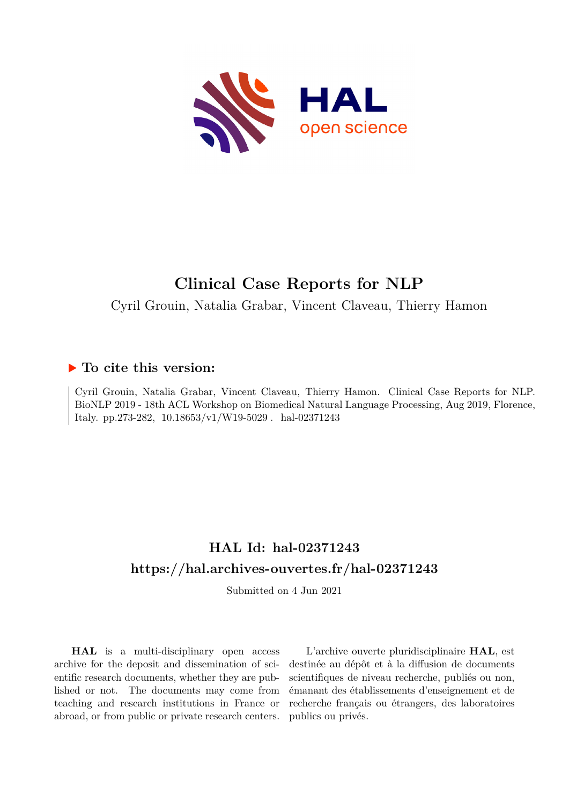

# **Clinical Case Reports for NLP**

Cyril Grouin, Natalia Grabar, Vincent Claveau, Thierry Hamon

### **To cite this version:**

Cyril Grouin, Natalia Grabar, Vincent Claveau, Thierry Hamon. Clinical Case Reports for NLP. BioNLP 2019 - 18th ACL Workshop on Biomedical Natural Language Processing, Aug 2019, Florence, Italy. pp.273-282,  $10.18653/v1/W19-5029$ . hal-02371243

## **HAL Id: hal-02371243 <https://hal.archives-ouvertes.fr/hal-02371243>**

Submitted on 4 Jun 2021

**HAL** is a multi-disciplinary open access archive for the deposit and dissemination of scientific research documents, whether they are published or not. The documents may come from teaching and research institutions in France or abroad, or from public or private research centers.

L'archive ouverte pluridisciplinaire **HAL**, est destinée au dépôt et à la diffusion de documents scientifiques de niveau recherche, publiés ou non, émanant des établissements d'enseignement et de recherche français ou étrangers, des laboratoires publics ou privés.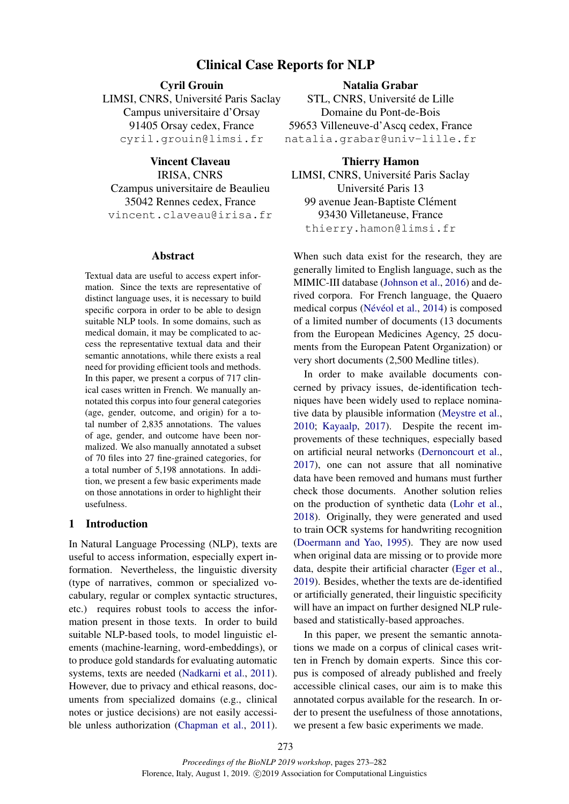#### Clinical Case Reports for NLP

#### Cyril Grouin

LIMSI, CNRS, Université Paris Saclay Campus universitaire d'Orsay 91405 Orsay cedex, France cyril.grouin@limsi.fr

Vincent Claveau IRISA, CNRS Czampus universitaire de Beaulieu 35042 Rennes cedex, France vincent.claveau@irisa.fr

#### Abstract

Textual data are useful to access expert information. Since the texts are representative of distinct language uses, it is necessary to build specific corpora in order to be able to design suitable NLP tools. In some domains, such as medical domain, it may be complicated to access the representative textual data and their semantic annotations, while there exists a real need for providing efficient tools and methods. In this paper, we present a corpus of 717 clinical cases written in French. We manually annotated this corpus into four general categories (age, gender, outcome, and origin) for a total number of 2,835 annotations. The values of age, gender, and outcome have been normalized. We also manually annotated a subset of 70 files into 27 fine-grained categories, for a total number of 5,198 annotations. In addition, we present a few basic experiments made on those annotations in order to highlight their usefulness.

#### 1 Introduction

In Natural Language Processing (NLP), texts are useful to access information, especially expert information. Nevertheless, the linguistic diversity (type of narratives, common or specialized vocabulary, regular or complex syntactic structures, etc.) requires robust tools to access the information present in those texts. In order to build suitable NLP-based tools, to model linguistic elements (machine-learning, word-embeddings), or to produce gold standards for evaluating automatic systems, texts are needed (Nadkarni et al., 2011). However, due to privacy and ethical reasons, documents from specialized domains (e.g., clinical notes or justice decisions) are not easily accessible unless authorization (Chapman et al., 2011).

Natalia Grabar STL, CNRS, Université de Lille Domaine du Pont-de-Bois 59653 Villeneuve-d'Ascq cedex, France natalia.grabar@univ-lille.fr

Thierry Hamon LIMSI, CNRS, Université Paris Saclay Université Paris 13 99 avenue Jean-Baptiste Clément 93430 Villetaneuse, France thierry.hamon@limsi.fr

When such data exist for the research, they are generally limited to English language, such as the MIMIC-III database (Johnson et al., 2016) and derived corpora. For French language, the Quaero medical corpus (Névéol et al., 2014) is composed of a limited number of documents (13 documents from the European Medicines Agency, 25 documents from the European Patent Organization) or very short documents (2,500 Medline titles).

In order to make available documents concerned by privacy issues, de-identification techniques have been widely used to replace nominative data by plausible information (Meystre et al., 2010; Kayaalp, 2017). Despite the recent improvements of these techniques, especially based on artificial neural networks (Dernoncourt et al., 2017), one can not assure that all nominative data have been removed and humans must further check those documents. Another solution relies on the production of synthetic data (Lohr et al., 2018). Originally, they were generated and used to train OCR systems for handwriting recognition (Doermann and Yao, 1995). They are now used when original data are missing or to provide more data, despite their artificial character (Eger et al., 2019). Besides, whether the texts are de-identified or artificially generated, their linguistic specificity will have an impact on further designed NLP rulebased and statistically-based approaches.

In this paper, we present the semantic annotations we made on a corpus of clinical cases written in French by domain experts. Since this corpus is composed of already published and freely accessible clinical cases, our aim is to make this annotated corpus available for the research. In order to present the usefulness of those annotations, we present a few basic experiments we made.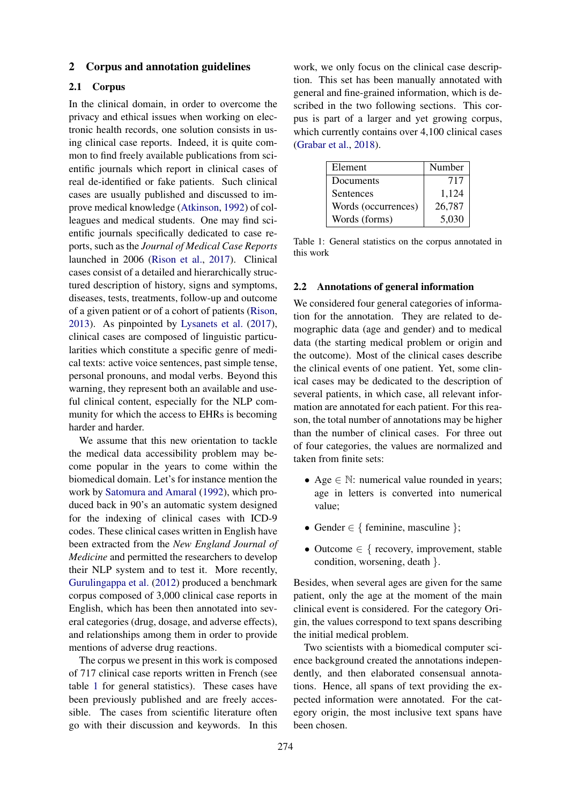#### 2 Corpus and annotation guidelines

#### 2.1 Corpus

In the clinical domain, in order to overcome the privacy and ethical issues when working on electronic health records, one solution consists in using clinical case reports. Indeed, it is quite common to find freely available publications from scientific journals which report in clinical cases of real de-identified or fake patients. Such clinical cases are usually published and discussed to improve medical knowledge (Atkinson, 1992) of colleagues and medical students. One may find scientific journals specifically dedicated to case reports, such as the *Journal of Medical Case Reports* launched in 2006 (Rison et al., 2017). Clinical cases consist of a detailed and hierarchically structured description of history, signs and symptoms, diseases, tests, treatments, follow-up and outcome of a given patient or of a cohort of patients (Rison, 2013). As pinpointed by Lysanets et al. (2017), clinical cases are composed of linguistic particularities which constitute a specific genre of medical texts: active voice sentences, past simple tense, personal pronouns, and modal verbs. Beyond this warning, they represent both an available and useful clinical content, especially for the NLP community for which the access to EHRs is becoming harder and harder.

We assume that this new orientation to tackle the medical data accessibility problem may become popular in the years to come within the biomedical domain. Let's for instance mention the work by Satomura and Amaral (1992), which produced back in 90's an automatic system designed for the indexing of clinical cases with ICD-9 codes. These clinical cases written in English have been extracted from the *New England Journal of Medicine* and permitted the researchers to develop their NLP system and to test it. More recently, Gurulingappa et al. (2012) produced a benchmark corpus composed of 3,000 clinical case reports in English, which has been then annotated into several categories (drug, dosage, and adverse effects), and relationships among them in order to provide mentions of adverse drug reactions.

The corpus we present in this work is composed of 717 clinical case reports written in French (see table 1 for general statistics). These cases have been previously published and are freely accessible. The cases from scientific literature often go with their discussion and keywords. In this

work, we only focus on the clinical case description. This set has been manually annotated with general and fine-grained information, which is described in the two following sections. This corpus is part of a larger and yet growing corpus, which currently contains over 4,100 clinical cases (Grabar et al., 2018).

| Element             | Number |
|---------------------|--------|
| Documents           | 717    |
| Sentences           | 1,124  |
| Words (occurrences) | 26,787 |
| Words (forms)       | 5,030  |

Table 1: General statistics on the corpus annotated in this work

#### 2.2 Annotations of general information

We considered four general categories of information for the annotation. They are related to demographic data (age and gender) and to medical data (the starting medical problem or origin and the outcome). Most of the clinical cases describe the clinical events of one patient. Yet, some clinical cases may be dedicated to the description of several patients, in which case, all relevant information are annotated for each patient. For this reason, the total number of annotations may be higher than the number of clinical cases. For three out of four categories, the values are normalized and taken from finite sets:

- Age  $\in \mathbb{N}$ : numerical value rounded in years; age in letters is converted into numerical value;
- Gender  $\in \{$  feminine, masculine  $\}$ ;
- Outcome  $\in \{$  recovery, improvement, stable condition, worsening, death }.

Besides, when several ages are given for the same patient, only the age at the moment of the main clinical event is considered. For the category Origin, the values correspond to text spans describing the initial medical problem.

Two scientists with a biomedical computer science background created the annotations independently, and then elaborated consensual annotations. Hence, all spans of text providing the expected information were annotated. For the category origin, the most inclusive text spans have been chosen.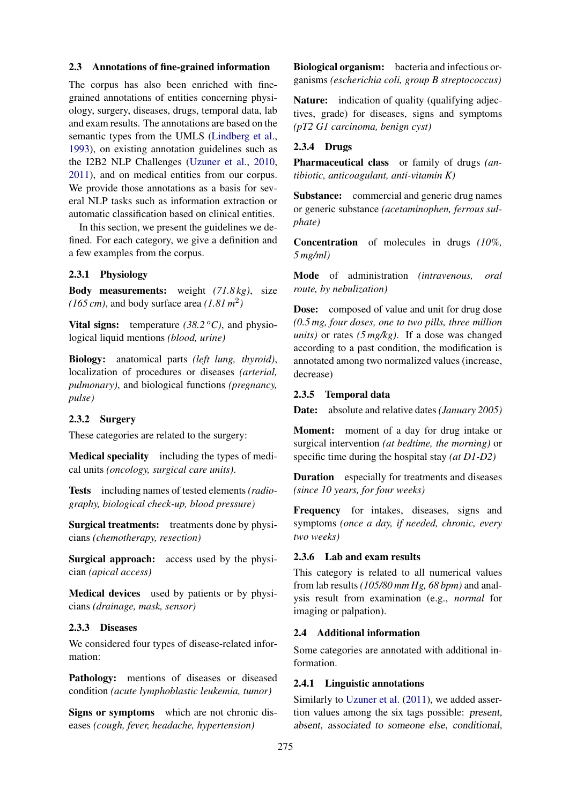#### 2.3 Annotations of fine-grained information

The corpus has also been enriched with finegrained annotations of entities concerning physiology, surgery, diseases, drugs, temporal data, lab and exam results. The annotations are based on the semantic types from the UMLS (Lindberg et al., 1993), on existing annotation guidelines such as the I2B2 NLP Challenges (Uzuner et al., 2010, 2011), and on medical entities from our corpus. We provide those annotations as a basis for several NLP tasks such as information extraction or automatic classification based on clinical entities.

In this section, we present the guidelines we defined. For each category, we give a definition and a few examples from the corpus.

#### 2.3.1 Physiology

Body measurements: weight *(71.8 kg)*, size  $(165 \text{ cm})$ , and body surface area  $(1.81 \text{ m}^2)$ 

Vital signs: temperature  $(38.2 \degree C)$ , and physiological liquid mentions *(blood, urine)*

Biology: anatomical parts *(left lung, thyroid)*, localization of procedures or diseases *(arterial, pulmonary)*, and biological functions *(pregnancy, pulse)*

#### 2.3.2 Surgery

These categories are related to the surgery:

Medical speciality including the types of medical units *(oncology, surgical care units)*.

Tests including names of tested elements *(radiography, biological check-up, blood pressure)*

Surgical treatments: treatments done by physicians *(chemotherapy, resection)*

Surgical approach: access used by the physician *(apical access)*

Medical devices used by patients or by physicians *(drainage, mask, sensor)*

#### 2.3.3 Diseases

We considered four types of disease-related information:

Pathology: mentions of diseases or diseased condition *(acute lymphoblastic leukemia, tumor)*

Signs or symptoms which are not chronic diseases *(cough, fever, headache, hypertension)*

Biological organism: bacteria and infectious organisms *(escherichia coli, group B streptococcus)*

Nature: indication of quality (qualifying adjectives, grade) for diseases, signs and symptoms *(pT2 G1 carcinoma, benign cyst)*

#### 2.3.4 Drugs

Pharmaceutical class or family of drugs *(antibiotic, anticoagulant, anti-vitamin K)*

Substance: commercial and generic drug names or generic substance *(acetaminophen, ferrous sulphate)*

Concentration of molecules in drugs *(10%, 5 mg/ml)*

Mode of administration *(intravenous, oral route, by nebulization)*

Dose: composed of value and unit for drug dose *(0.5 mg, four doses, one to two pills, three million units)* or rates *(5 mg/kg)*. If a dose was changed according to a past condition, the modification is annotated among two normalized values (increase, decrease)

#### 2.3.5 Temporal data

Date: absolute and relative dates *(January 2005)*

Moment: moment of a day for drug intake or surgical intervention *(at bedtime, the morning)* or specific time during the hospital stay *(at D1-D2)*

Duration especially for treatments and diseases *(since 10 years, for four weeks)*

Frequency for intakes, diseases, signs and symptoms *(once a day, if needed, chronic, every two weeks)*

#### 2.3.6 Lab and exam results

This category is related to all numerical values from lab results *(105/80 mm Hg, 68 bpm)* and analysis result from examination (e.g., *normal* for imaging or palpation).

#### 2.4 Additional information

Some categories are annotated with additional information.

#### 2.4.1 Linguistic annotations

Similarly to Uzuner et al. (2011), we added assertion values among the six tags possible: present, absent, associated to someone else, conditional,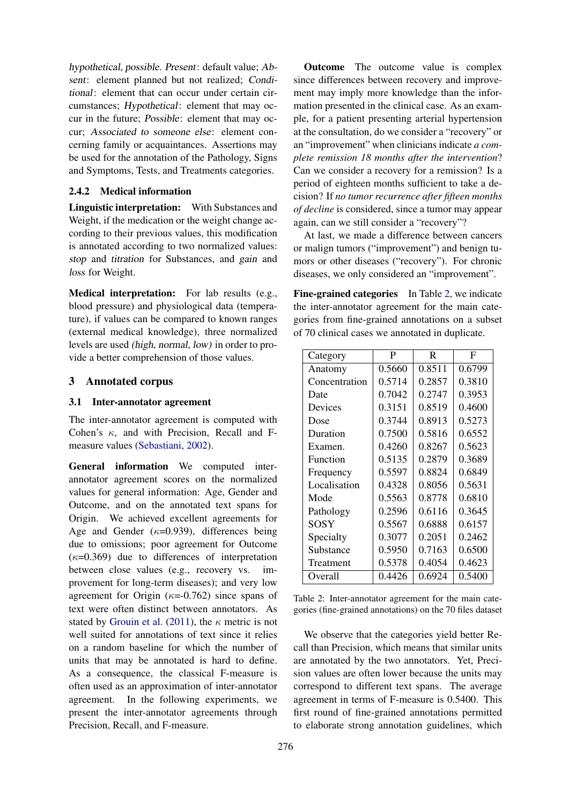hypothetical, possible. Present: default value; Absent: element planned but not realized; Conditional: element that can occur under certain circumstances; Hypothetical: element that may occur in the future; Possible: element that may occur; Associated to someone else: element concerning family or acquaintances. Assertions may be used for the annotation of the Pathology, Signs and Symptoms, Tests, and Treatments categories.

#### 2.4.2 Medical information

Linguistic interpretation: With Substances and Weight, if the medication or the weight change according to their previous values, this modification is annotated according to two normalized values: stop and titration for Substances, and gain and loss for Weight.

Medical interpretation: For lab results (e.g., blood pressure) and physiological data (temperature), if values can be compared to known ranges (external medical knowledge), three normalized levels are used (high, normal, low) in order to provide a better comprehension of those values.

#### 3 Annotated corpus

#### 3.1 Inter-annotator agreement

The inter-annotator agreement is computed with Cohen's  $\kappa$ , and with Precision, Recall and Fmeasure values (Sebastiani, 2002).

General information We computed interannotator agreement scores on the normalized values for general information: Age, Gender and Outcome, and on the annotated text spans for Origin. We achieved excellent agreements for Age and Gender ( $\kappa$ =0.939), differences being due to omissions; poor agreement for Outcome  $(\kappa=0.369)$  due to differences of interpretation between close values (e.g., recovery vs. improvement for long-term diseases); and very low agreement for Origin  $(\kappa=0.762)$  since spans of text were often distinct between annotators. As stated by Grouin et al. (2011), the  $\kappa$  metric is not well suited for annotations of text since it relies on a random baseline for which the number of units that may be annotated is hard to define. As a consequence, the classical F-measure is often used as an approximation of inter-annotator agreement. In the following experiments, we present the inter-annotator agreements through Precision, Recall, and F-measure.

Outcome The outcome value is complex since differences between recovery and improvement may imply more knowledge than the information presented in the clinical case. As an example, for a patient presenting arterial hypertension at the consultation, do we consider a "recovery" or an "improvement" when clinicians indicate *a complete remission 18 months after the intervention*? Can we consider a recovery for a remission? Is a period of eighteen months sufficient to take a decision? If *no tumor recurrence after fifteen months of decline* is considered, since a tumor may appear again, can we still consider a "recovery"?

At last, we made a difference between cancers or malign tumors ("improvement") and benign tumors or other diseases ("recovery"). For chronic diseases, we only considered an "improvement".

Fine-grained categories In Table 2, we indicate the inter-annotator agreement for the main categories from fine-grained annotations on a subset of 70 clinical cases we annotated in duplicate.

| Category      | P      | R      | F      |
|---------------|--------|--------|--------|
| Anatomy       | 0.5660 | 0.8511 | 0.6799 |
| Concentration | 0.5714 | 0.2857 | 0.3810 |
| Date          | 0.7042 | 0.2747 | 0.3953 |
| Devices       | 0.3151 | 0.8519 | 0.4600 |
| Dose          | 0.3744 | 0.8913 | 0.5273 |
| Duration      | 0.7500 | 0.5816 | 0.6552 |
| Examen.       | 0.4260 | 0.8267 | 0.5623 |
| Function      | 0.5135 | 0.2879 | 0.3689 |
| Frequency     | 0.5597 | 0.8824 | 0.6849 |
| Localisation  | 0.4328 | 0.8056 | 0.5631 |
| Mode          | 0.5563 | 0.8778 | 0.6810 |
| Pathology     | 0.2596 | 0.6116 | 0.3645 |
| SOSY          | 0.5567 | 0.6888 | 0.6157 |
| Specialty     | 0.3077 | 0.2051 | 0.2462 |
| Substance     | 0.5950 | 0.7163 | 0.6500 |
| Treatment     | 0.5378 | 0.4054 | 0.4623 |
| Overall       | 0.4426 | 0.6924 | 0.5400 |

| Table 2: Inter-annotator agreement for the main cate-     |  |  |  |
|-----------------------------------------------------------|--|--|--|
| gories (fine-grained annotations) on the 70 files dataset |  |  |  |

We observe that the categories yield better Recall than Precision, which means that similar units are annotated by the two annotators. Yet, Precision values are often lower because the units may correspond to different text spans. The average agreement in terms of F-measure is 0.5400. This first round of fine-grained annotations permitted to elaborate strong annotation guidelines, which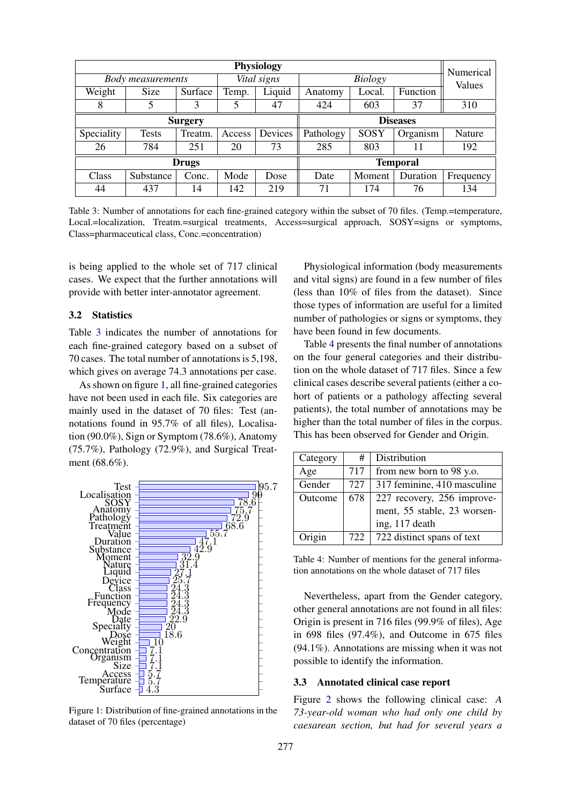| Physiology     |                          |         |        |                 | Numerical                     |                 |          |           |
|----------------|--------------------------|---------|--------|-----------------|-------------------------------|-----------------|----------|-----------|
|                | <b>Body measurements</b> |         |        | Vital signs     | <b>Biology</b>                |                 |          | Values    |
| Weight         | Size                     | Surface | Temp.  | Liquid          | Anatomy                       | Local.          | Function |           |
| 8              | 5                        | 3       | 5      | 47              | 424                           | 603             | 37       | 310       |
| <b>Surgery</b> |                          |         |        | <b>Diseases</b> |                               |                 |          |           |
| Speciality     | <b>Tests</b>             | Treatm. | Access | Devices         | SOSY<br>Pathology<br>Organism |                 |          | Nature    |
| 26             | 784                      | 251     | 20     | 73              | 285                           | 803             | 11       | 192       |
| <b>Drugs</b>   |                          |         |        |                 |                               | <b>Temporal</b> |          |           |
| <b>Class</b>   | Substance                | Conc.   | Mode   | Dose            | Date                          | Moment          | Duration | Frequency |
| 44             | 437                      | 14      | 142    | 219             | 71                            | 174             | 76       | 134       |

Table 3: Number of annotations for each fine-grained category within the subset of 70 files. (Temp.=temperature, Local.=localization, Treatm.=surgical treatments, Access=surgical approach, SOSY=signs or symptoms, Class=pharmaceutical class, Conc.=concentration)

is being applied to the whole set of 717 clinical cases. We expect that the further annotations will provide with better inter-annotator agreement.

#### 3.2 Statistics

Table 3 indicates the number of annotations for each fine-grained category based on a subset of 70 cases. The total number of annotations is 5,198, which gives on average 74.3 annotations per case.

As shown on figure 1, all fine-grained categories have not been used in each file. Six categories are mainly used in the dataset of 70 files: Test (annotations found in 95.7% of all files), Localisation (90.0%), Sign or Symptom (78.6%), Anatomy (75.7%), Pathology (72.9%), and Surgical Treatment (68.6%).



Figure 1: Distribution of fine-grained annotations in the dataset of 70 files (percentage)

Physiological information (body measurements and vital signs) are found in a few number of files (less than 10% of files from the dataset). Since those types of information are useful for a limited number of pathologies or signs or symptoms, they have been found in few documents.

Table 4 presents the final number of annotations on the four general categories and their distribution on the whole dataset of 717 files. Since a few clinical cases describe several patients (either a cohort of patients or a pathology affecting several patients), the total number of annotations may be higher than the total number of files in the corpus. This has been observed for Gender and Origin.

| Category | #   | Distribution                |
|----------|-----|-----------------------------|
| Age      | 717 | from new born to 98 y.o.    |
| Gender   | 727 | 317 feminine, 410 masculine |
| Outcome  | 678 | 227 recovery, 256 improve-  |
|          |     | ment, 55 stable, 23 worsen- |
|          |     | ing, 117 death              |
| Origin   | 722 | 722 distinct spans of text  |

Table 4: Number of mentions for the general information annotations on the whole dataset of 717 files

Nevertheless, apart from the Gender category, other general annotations are not found in all files: Origin is present in 716 files (99.9% of files), Age in 698 files (97.4%), and Outcome in 675 files (94.1%). Annotations are missing when it was not possible to identify the information.

#### 3.3 Annotated clinical case report

Figure 2 shows the following clinical case: *A 73-year-old woman who had only one child by caesarean section, but had for several years a*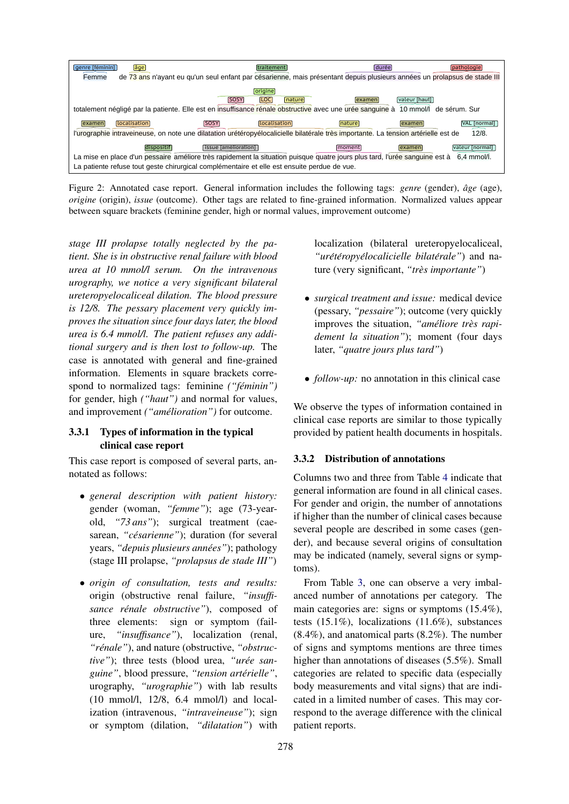

Figure 2: Annotated case report. General information includes the following tags: *genre* (gender),  $\hat{a}ge$  (age), *origine* (origin), *issue* (outcome). Other tags are related to fine-grained information. Normalized values appear between square brackets (feminine gender, high or normal values, improvement outcome)

*stage III prolapse totally neglected by the patient. She is in obstructive renal failure with blood urea at 10 mmol/l serum. On the intravenous urography, we notice a very significant bilateral ureteropyelocaliceal dilation. The blood pressure is 12/8. The pessary placement very quickly improves the situation since four days later, the blood urea is 6.4 mmol/l. The patient refuses any additional surgery and is then lost to follow-up.* The case is annotated with general and fine-grained information. Elements in square brackets correspond to normalized tags: feminine *("feminin") ´* for gender, high *("haut")* and normal for values, and improvement *("amélioration")* for outcome.

#### 3.3.1 Types of information in the typical clinical case report

This case report is composed of several parts, annotated as follows:

- *general description with patient history:* gender (woman, *"femme"*); age (73-yearold, *"73 ans"*); surgical treatment (caesarean, "*césarienne*"); duration (for several years, *"depuis plusieurs annees" ´* ); pathology (stage III prolapse, *"prolapsus de stade III"*)
- *origin of consultation, tests and results:* origin (obstructive renal failure, *"insuffisance rénale obstructive"*), composed of three elements: sign or symptom (failure, *"insuffisance"*), localization (renal, "*rénale*"), and nature (obstructive, "*obstructive*"); three tests (blood urea, "*urée sanguine"*, blood pressure, *"tension arterielle" ´* , urography, *"urographie"*) with lab results (10 mmol/l, 12/8, 6.4 mmol/l) and localization (intravenous, *"intraveineuse"*); sign or symptom (dilation, *"dilatation"*) with

localization (bilateral ureteropyelocaliceal, *"uret´ eropy ´ elocalicielle bilat ´ erale" ´* ) and nature (very significant, *"tres importante" `* )

- *surgical treatment and issue:* medical device (pessary, *"pessaire"*); outcome (very quickly improves the situation, "*améliore très rapidement la situation"*); moment (four days later, *"quatre jours plus tard"*)
- *follow-up*: no annotation in this clinical case

We observe the types of information contained in clinical case reports are similar to those typically provided by patient health documents in hospitals.

#### 3.3.2 Distribution of annotations

Columns two and three from Table 4 indicate that general information are found in all clinical cases. For gender and origin, the number of annotations if higher than the number of clinical cases because several people are described in some cases (gender), and because several origins of consultation may be indicated (namely, several signs or symptoms).

ure, "insuffisance"), localization (renal,  $(8.4\%)$ , and anatomical parts  $(8.2\%)$ . The number From Table 3, one can observe a very imbalanced number of annotations per category. The main categories are: signs or symptoms (15.4%), tests (15.1%), localizations (11.6%), substances of signs and symptoms mentions are three times higher than annotations of diseases (5.5%). Small categories are related to specific data (especially body measurements and vital signs) that are indicated in a limited number of cases. This may correspond to the average difference with the clinical patient reports.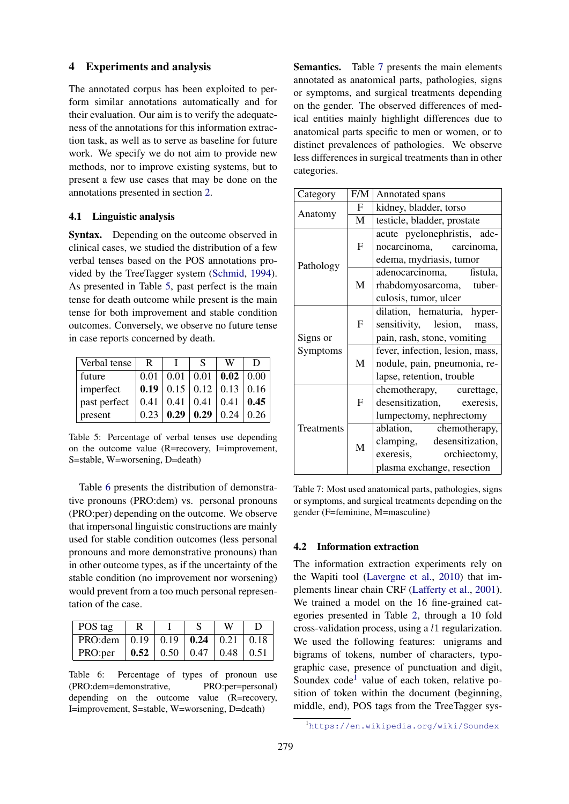#### 4 Experiments and analysis

The annotated corpus has been exploited to perform similar annotations automatically and for their evaluation. Our aim is to verify the adequateness of the annotations for this information extraction task, as well as to serve as baseline for future work. We specify we do not aim to provide new methods, nor to improve existing systems, but to present a few use cases that may be done on the annotations presented in section 2.

#### 4.1 Linguistic analysis

Syntax. Depending on the outcome observed in clinical cases, we studied the distribution of a few verbal tenses based on the POS annotations provided by the TreeTagger system (Schmid, 1994). As presented in Table 5, past perfect is the main tense for death outcome while present is the main tense for both improvement and stable condition outcomes. Conversely, we observe no future tense in case reports concerned by death.

| Verbal tense | R    |      | S                                                   | W    |      |
|--------------|------|------|-----------------------------------------------------|------|------|
| future       |      |      | $0.01 \mid 0.01 \mid 0.01 \mid$ 0.02 $\mid 0.00$    |      |      |
| imperfect    |      |      | <b>0.19</b>   0.15   0.12   0.13   0.16             |      |      |
| past perfect |      |      | $0.41 \mid 0.41 \mid 0.41 \mid 0.41 \mid 0.45 \mid$ |      |      |
| present      | 0.23 | 0.29 | 0.29                                                | 0.24 | 0.26 |

Table 5: Percentage of verbal tenses use depending on the outcome value (R=recovery, I=improvement, S=stable, W=worsening, D=death)

Table 6 presents the distribution of demonstrative pronouns (PRO:dem) vs. personal pronouns (PRO:per) depending on the outcome. We observe that impersonal linguistic constructions are mainly used for stable condition outcomes (less personal pronouns and more demonstrative pronouns) than in other outcome types, as if the uncertainty of the stable condition (no improvement nor worsening) would prevent from a too much personal representation of the case.

| POS tag                                              |                                         | W |  |
|------------------------------------------------------|-----------------------------------------|---|--|
| PRO:dem   $0.19$   $0.19$   $0.24$   $0.21$   $0.18$ |                                         |   |  |
| PRO: per                                             | <b>0.52</b>   0.50   0.47   0.48   0.51 |   |  |

Table 6: Percentage of types of pronoun use (PRO:dem=demonstrative, PRO:per=personal) depending on the outcome value (R=recovery, I=improvement, S=stable, W=worsening, D=death)

Semantics. Table 7 presents the main elements annotated as anatomical parts, pathologies, signs or symptoms, and surgical treatments depending on the gender. The observed differences of medical entities mainly highlight differences due to anatomical parts specific to men or women, or to distinct prevalences of pathologies. We observe less differences in surgical treatments than in other categories.

| Category   | F/M          | Annotated spans                 |  |  |  |  |
|------------|--------------|---------------------------------|--|--|--|--|
|            | F            | kidney, bladder, torso          |  |  |  |  |
| Anatomy    | $\mathbf{M}$ | testicle, bladder, prostate     |  |  |  |  |
|            |              | acute pyelonephristis, ade-     |  |  |  |  |
|            | F            | nocarcinoma, carcinoma,         |  |  |  |  |
|            |              | edema, mydriasis, tumor         |  |  |  |  |
| Pathology  |              | adenocarcinoma, fistula,        |  |  |  |  |
|            | M            | rhabdomyosarcoma, tuber-        |  |  |  |  |
|            |              | culosis, tumor, ulcer           |  |  |  |  |
|            |              | dilation, hematuria, hyper-     |  |  |  |  |
|            | F            | sensitivity, lesion, mass,      |  |  |  |  |
| Signs or   |              | pain, rash, stone, vomiting     |  |  |  |  |
| Symptoms   |              | fever, infection, lesion, mass, |  |  |  |  |
|            | M            | nodule, pain, pneumonia, re-    |  |  |  |  |
|            |              | lapse, retention, trouble       |  |  |  |  |
|            |              | chemotherapy, curettage,        |  |  |  |  |
|            | F            | desensitization, exeresis,      |  |  |  |  |
|            |              | lumpectomy, nephrectomy         |  |  |  |  |
| Treatments |              | ablation, chemotherapy,         |  |  |  |  |
|            | $\mathbf{M}$ | clamping, desensitization,      |  |  |  |  |
|            |              | exeresis,<br>orchiectomy,       |  |  |  |  |
|            |              | plasma exchange, resection      |  |  |  |  |

Table 7: Most used anatomical parts, pathologies, signs or symptoms, and surgical treatments depending on the gender (F=feminine, M=masculine)

#### 4.2 Information extraction

The information extraction experiments rely on the Wapiti tool (Lavergne et al., 2010) that implements linear chain CRF (Lafferty et al., 2001). We trained a model on the 16 fine-grained categories presented in Table 2, through a 10 fold cross-validation process, using a l1 regularization. We used the following features: unigrams and bigrams of tokens, number of characters, typographic case, presence of punctuation and digit, Soundex code<sup>1</sup> value of each token, relative position of token within the document (beginning, middle, end), POS tags from the TreeTagger sys-

<sup>1</sup><https://en.wikipedia.org/wiki/Soundex>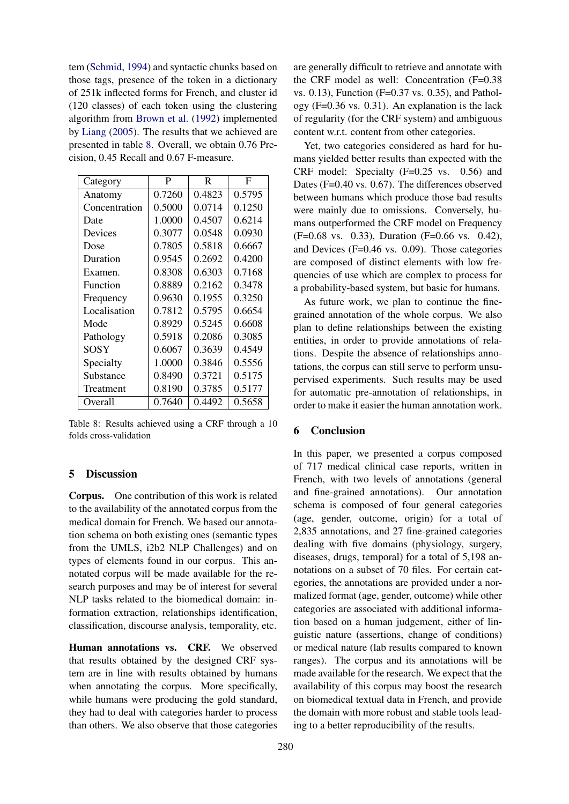tem (Schmid, 1994) and syntactic chunks based on those tags, presence of the token in a dictionary of 251k inflected forms for French, and cluster id (120 classes) of each token using the clustering algorithm from Brown et al. (1992) implemented by Liang (2005). The results that we achieved are presented in table 8. Overall, we obtain 0.76 Precision, 0.45 Recall and 0.67 F-measure.

| Category      | P      | R      | F      |
|---------------|--------|--------|--------|
| Anatomy       | 0.7260 | 0.4823 | 0.5795 |
| Concentration | 0.5000 | 0.0714 | 0.1250 |
| Date          | 1.0000 | 0.4507 | 0.6214 |
| Devices       | 0.3077 | 0.0548 | 0.0930 |
| Dose          | 0.7805 | 0.5818 | 0.6667 |
| Duration      | 0.9545 | 0.2692 | 0.4200 |
| Examen.       | 0.8308 | 0.6303 | 0.7168 |
| Function      | 0.8889 | 0.2162 | 0.3478 |
| Frequency     | 0.9630 | 0.1955 | 0.3250 |
| Localisation  | 0.7812 | 0.5795 | 0.6654 |
| Mode          | 0.8929 | 0.5245 | 0.6608 |
| Pathology     | 0.5918 | 0.2086 | 0.3085 |
| SOSY          | 0.6067 | 0.3639 | 0.4549 |
| Specialty     | 1.0000 | 0.3846 | 0.5556 |
| Substance     | 0.8490 | 0.3721 | 0.5175 |
| Treatment     | 0.8190 | 0.3785 | 0.5177 |
| Overall       | 0.7640 | 0.4492 | 0.5658 |

Table 8: Results achieved using a CRF through a 10 folds cross-validation

#### 5 Discussion

Corpus. One contribution of this work is related to the availability of the annotated corpus from the medical domain for French. We based our annotation schema on both existing ones (semantic types from the UMLS, i2b2 NLP Challenges) and on types of elements found in our corpus. This annotated corpus will be made available for the research purposes and may be of interest for several NLP tasks related to the biomedical domain: information extraction, relationships identification, classification, discourse analysis, temporality, etc.

Human annotations vs. CRF. We observed that results obtained by the designed CRF system are in line with results obtained by humans when annotating the corpus. More specifically, while humans were producing the gold standard, they had to deal with categories harder to process than others. We also observe that those categories

are generally difficult to retrieve and annotate with the CRF model as well: Concentration (F=0.38 vs. 0.13), Function (F=0.37 vs. 0.35), and Pathology (F=0.36 vs. 0.31). An explanation is the lack of regularity (for the CRF system) and ambiguous content w.r.t. content from other categories.

Yet, two categories considered as hard for humans yielded better results than expected with the CRF model: Specialty (F=0.25 vs. 0.56) and Dates (F=0.40 vs. 0.67). The differences observed between humans which produce those bad results were mainly due to omissions. Conversely, humans outperformed the CRF model on Frequency (F=0.68 vs. 0.33), Duration (F=0.66 vs. 0.42), and Devices (F=0.46 vs. 0.09). Those categories are composed of distinct elements with low frequencies of use which are complex to process for a probability-based system, but basic for humans.

As future work, we plan to continue the finegrained annotation of the whole corpus. We also plan to define relationships between the existing entities, in order to provide annotations of relations. Despite the absence of relationships annotations, the corpus can still serve to perform unsupervised experiments. Such results may be used for automatic pre-annotation of relationships, in order to make it easier the human annotation work.

#### 6 Conclusion

In this paper, we presented a corpus composed of 717 medical clinical case reports, written in French, with two levels of annotations (general and fine-grained annotations). Our annotation schema is composed of four general categories (age, gender, outcome, origin) for a total of 2,835 annotations, and 27 fine-grained categories dealing with five domains (physiology, surgery, diseases, drugs, temporal) for a total of 5,198 annotations on a subset of 70 files. For certain categories, the annotations are provided under a normalized format (age, gender, outcome) while other categories are associated with additional information based on a human judgement, either of linguistic nature (assertions, change of conditions) or medical nature (lab results compared to known ranges). The corpus and its annotations will be made available for the research. We expect that the availability of this corpus may boost the research on biomedical textual data in French, and provide the domain with more robust and stable tools leading to a better reproducibility of the results.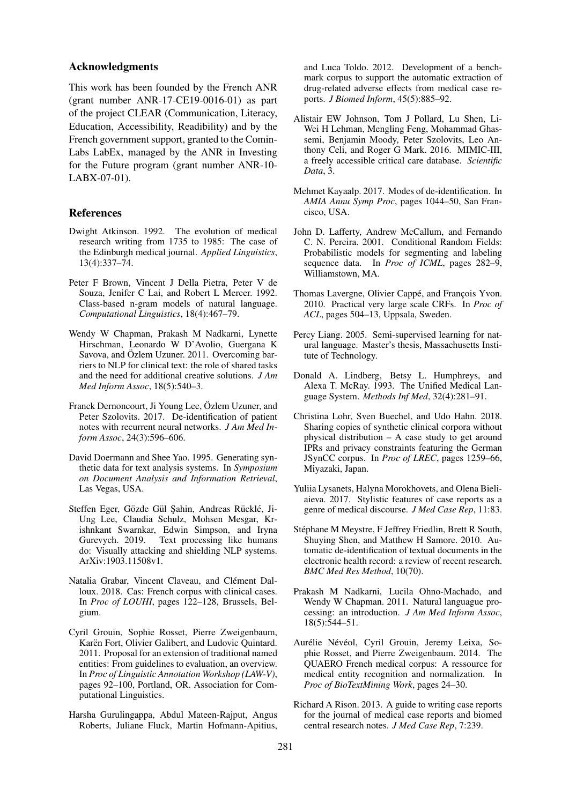#### Acknowledgments

This work has been founded by the French ANR (grant number ANR-17-CE19-0016-01) as part of the project CLEAR (Communication, Literacy, Education, Accessibility, Readibility) and by the French government support, granted to the Comin-Labs LabEx, managed by the ANR in Investing for the Future program (grant number ANR-10- LABX-07-01).

#### References

- Dwight Atkinson. 1992. The evolution of medical research writing from 1735 to 1985: The case of the Edinburgh medical journal. *Applied Linguistics*, 13(4):337–74.
- Peter F Brown, Vincent J Della Pietra, Peter V de Souza, Jenifer C Lai, and Robert L Mercer. 1992. Class-based n-gram models of natural language. *Computational Linguistics*, 18(4):467–79.
- Wendy W Chapman, Prakash M Nadkarni, Lynette Hirschman, Leonardo W D'Avolio, Guergana K Savova, and Özlem Uzuner. 2011. Overcoming barriers to NLP for clinical text: the role of shared tasks and the need for additional creative solutions. *J Am Med Inform Assoc*, 18(5):540–3.
- Franck Dernoncourt, Ji Young Lee, Özlem Uzuner, and Peter Szolovits. 2017. De-identification of patient notes with recurrent neural networks. *J Am Med Inform Assoc*, 24(3):596–606.
- David Doermann and Shee Yao. 1995. Generating synthetic data for text analysis systems. In *Symposium on Document Analysis and Information Retrieval*, Las Vegas, USA.
- Steffen Eger, Gözde Gül Sahin, Andreas Rücklé, Ji-Ung Lee, Claudia Schulz, Mohsen Mesgar, Krishnkant Swarnkar, Edwin Simpson, and Iryna Gurevych. 2019. Text processing like humans do: Visually attacking and shielding NLP systems. ArXiv:1903.11508v1.
- Natalia Grabar, Vincent Claveau, and Clément Dalloux. 2018. Cas: French corpus with clinical cases. In *Proc of LOUHI*, pages 122–128, Brussels, Belgium.
- Cyril Grouin, Sophie Rosset, Pierre Zweigenbaum, Karën Fort, Olivier Galibert, and Ludovic Quintard. 2011. Proposal for an extension of traditional named entities: From guidelines to evaluation, an overview. In *Proc of Linguistic Annotation Workshop (LAW-V)*, pages 92–100, Portland, OR. Association for Computational Linguistics.
- Harsha Gurulingappa, Abdul Mateen-Rajput, Angus Roberts, Juliane Fluck, Martin Hofmann-Apitius,

and Luca Toldo. 2012. Development of a benchmark corpus to support the automatic extraction of drug-related adverse effects from medical case reports. *J Biomed Inform*, 45(5):885–92.

- Alistair EW Johnson, Tom J Pollard, Lu Shen, Li-Wei H Lehman, Mengling Feng, Mohammad Ghassemi, Benjamin Moody, Peter Szolovits, Leo Anthony Celi, and Roger G Mark. 2016. MIMIC-III, a freely accessible critical care database. *Scientific Data*, 3.
- Mehmet Kayaalp. 2017. Modes of de-identification. In *AMIA Annu Symp Proc*, pages 1044–50, San Francisco, USA.
- John D. Lafferty, Andrew McCallum, and Fernando C. N. Pereira. 2001. Conditional Random Fields: Probabilistic models for segmenting and labeling sequence data. In *Proc of ICML*, pages 282–9, Williamstown, MA.
- Thomas Lavergne, Olivier Cappé, and François Yvon. 2010. Practical very large scale CRFs. In *Proc of ACL*, pages 504–13, Uppsala, Sweden.
- Percy Liang. 2005. Semi-supervised learning for natural language. Master's thesis, Massachusetts Institute of Technology.
- Donald A. Lindberg, Betsy L. Humphreys, and Alexa T. McRay. 1993. The Unified Medical Language System. *Methods Inf Med*, 32(4):281–91.
- Christina Lohr, Sven Buechel, and Udo Hahn. 2018. Sharing copies of synthetic clinical corpora without physical distribution – A case study to get around IPRs and privacy constraints featuring the German JSynCC corpus. In *Proc of LREC*, pages 1259–66, Miyazaki, Japan.
- Yuliia Lysanets, Halyna Morokhovets, and Olena Bieliaieva. 2017. Stylistic features of case reports as a genre of medical discourse. *J Med Case Rep*, 11:83.
- Stéphane M Meystre, F Jeffrey Friedlin, Brett R South, Shuying Shen, and Matthew H Samore. 2010. Automatic de-identification of textual documents in the electronic health record: a review of recent research. *BMC Med Res Method*, 10(70).
- Prakash M Nadkarni, Lucila Ohno-Machado, and Wendy W Chapman. 2011. Natural languague processing: an introduction. *J Am Med Inform Assoc*, 18(5):544–51.
- Aurélie Névéol, Cyril Grouin, Jeremy Leixa, Sophie Rosset, and Pierre Zweigenbaum. 2014. The QUAERO French medical corpus: A ressource for medical entity recognition and normalization. In *Proc of BioTextMining Work*, pages 24–30.
- Richard A Rison. 2013. A guide to writing case reports for the journal of medical case reports and biomed central research notes. *J Med Case Rep*, 7:239.